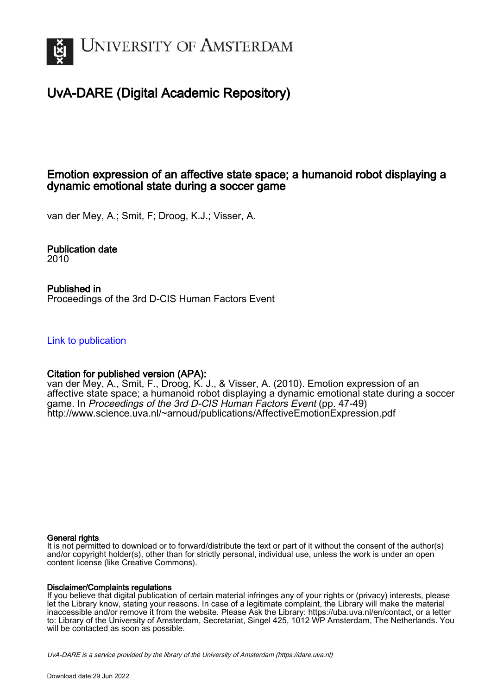

# UvA-DARE (Digital Academic Repository)

# Emotion expression of an affective state space; a humanoid robot displaying a dynamic emotional state during a soccer game

van der Mey, A.; Smit, F; Droog, K.J.; Visser, A.

Publication date 2010

Published in Proceedings of the 3rd D-CIS Human Factors Event

[Link to publication](https://dare.uva.nl/personal/pure/en/publications/emotion-expression-of-an-affective-state-space-a-humanoid-robot-displaying-a-dynamic-emotional-state-during-a-soccer-game(48f046de-a32c-4b53-9cb1-03dab7e85350).html)

## Citation for published version (APA):

van der Mey, A., Smit, F., Droog, K. J., & Visser, A. (2010). Emotion expression of an affective state space; a humanoid robot displaying a dynamic emotional state during a soccer game. In Proceedings of the 3rd D-CIS Human Factors Event (pp. 47-49) <http://www.science.uva.nl/~arnoud/publications/AffectiveEmotionExpression.pdf>

#### General rights

It is not permitted to download or to forward/distribute the text or part of it without the consent of the author(s) and/or copyright holder(s), other than for strictly personal, individual use, unless the work is under an open content license (like Creative Commons).

#### Disclaimer/Complaints regulations

If you believe that digital publication of certain material infringes any of your rights or (privacy) interests, please let the Library know, stating your reasons. In case of a legitimate complaint, the Library will make the material inaccessible and/or remove it from the website. Please Ask the Library: https://uba.uva.nl/en/contact, or a letter to: Library of the University of Amsterdam, Secretariat, Singel 425, 1012 WP Amsterdam, The Netherlands. You will be contacted as soon as possible.

UvA-DARE is a service provided by the library of the University of Amsterdam (http*s*://dare.uva.nl)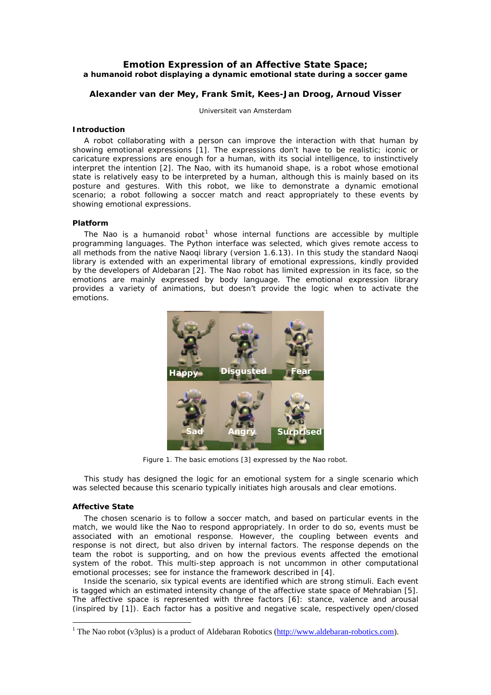### **Emotion Expression of an Affective State Space; a humanoid robot displaying a dynamic emotional state during a soccer game**

#### **Alexander van der Mey, Frank Smit, Kees-Jan Droog, Arnoud Visser**

Universiteit van Amsterdam

#### **Introduction**

A robot collaborating with a person can improve the interaction with that human by showing emotional expressions [[1](#page-3-0)]. The expressions don't have to be realistic; iconic or caricature expressions are enough for a human, with its social intelligence, to instinctively interpret the intention [\[2\]](#page-3-1). The Nao, with its humanoid shape, is a robot whose emotional state is relatively easy to be interpreted by a human, although this is mainly based on its posture and gestures. With this robot, we like to demonstrate a dynamic emotional scenario; a robot following a soccer match and react appropriately to these events by showing emotional expressions.

#### **Platform**

The Nao is a humanoid robot<sup>[1](#page-1-0)</sup> whose internal functions are accessible by multiple programming languages. The Python interface was selected, which gives remote access to all methods from the native Naoqi library (version 1.6.13). In this study the standard Naoqi library is extended with an experimental library of emotional expressions, kindly provided by the developers of Aldebaran [[2\]](#page-3-1). The Nao robot has limited expression in its face, so the emotions are mainly expressed by body language. The emotional expression library provides a variety of animations, but doesn't provide the logic when to activate the emotions.



Figure 1. The basic emotions [[3](#page-3-2)] expressed by the Nao robot.

This study has designed the logic for an emotional system for a single scenario which was selected because this scenario typically initiates high arousals and clear emotions.

#### **Affective State**

 $\overline{a}$ 

The chosen scenario is to follow a soccer match, and based on particular events in the match, we would like the Nao to respond appropriately. In order to do so, events must be associated with an emotional response. However, the coupling between events and response is not direct, but also driven by internal factors. The response depends on the team the robot is supporting, and on how the previous events affected the emotional system of the robot. This multi-step approach is not uncommon in other computational emotional processes; see for instance the framework described in [[4](#page-3-3)].

Inside the scenario, six typical events are identified which are strong stimuli. Each event is tagged which an estimated intensity change of the affective state space of Mehrabian [\[5](#page-3-4)]. The affective space is represented with three factors [[6\]](#page-3-5): stance, valence and arousal (inspired by [[1](#page-3-0)]). Each factor has a positive and negative scale, respectively open/closed

<span id="page-1-0"></span><sup>&</sup>lt;sup>1</sup> The Nao robot (v3plus) is a product of Aldebaran Robotics ( $\frac{http://www.aldebaran-robotics.com}{http://www.aldebaran-robotics.com}$ ).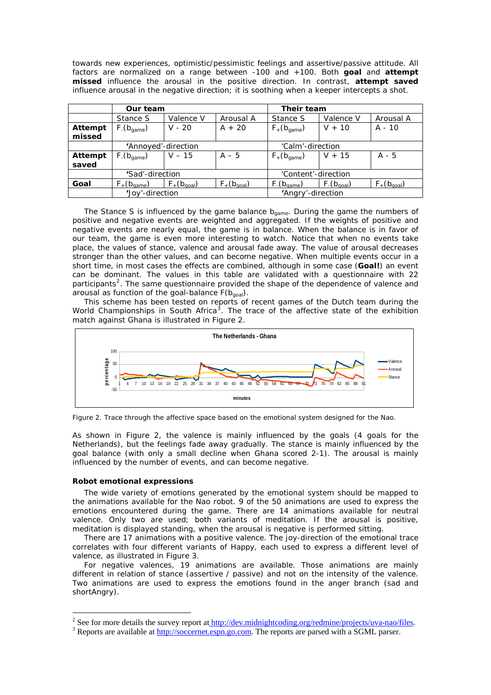towards new experiences, optimistic/pessimistic feelings and assertive/passive attitude. All factors are normalized on a range between -100 and +100. Both **goal** and **attempt missed** influence the arousal in the positive direction. In contrast, **attempt saved** influence arousal in the negative direction; it is soothing when a keeper intercepts a shot.

|         | Our team                        |                          |                          | Their team               |                                 |                          |
|---------|---------------------------------|--------------------------|--------------------------|--------------------------|---------------------------------|--------------------------|
|         | Stance S                        | Valence V                | Arousal A                | Stance S                 | Valence V                       | Arousal A                |
| Attempt | $F_{\text{-}}(b_{\text{game}})$ | $V - 20$                 | $A + 20$                 | $F_+(b_{\text{game}})$   | $V + 10$                        | $A - 10$                 |
| missed  |                                 |                          |                          |                          |                                 |                          |
|         | 'Annoyed'-direction             |                          |                          | 'Calm'-direction         |                                 |                          |
| Attempt | $F_{\text{-}}(b_{\text{game}})$ | $V - 15$                 | $A - 5$                  | $F_{+}(b_{\text{game}})$ | $V + 15$                        | $A - 5$                  |
| saved   |                                 |                          |                          |                          |                                 |                          |
|         | 'Sad'-direction                 |                          |                          | 'Content'-direction      |                                 |                          |
| Goal    | $F_{+}(b_{\text{game}})$        | $F_{+}(b_{\text{goal}})$ | $F_{+}(b_{\text{goal}})$ | $F_{1}(b_{\text{game}})$ | $F_{\text{-}}(b_{\text{goal}})$ | $F_{+}(b_{\text{goal}})$ |
|         | 'Joy'-direction                 |                          |                          | 'Angry'-direction        |                                 |                          |

The Stance *S* is influenced by the game balance  $b_{\text{game}}$ . During the game the numbers of positive and negative events are weighted and aggregated. If the weights of positive and negative events are nearly equal, the game is in balance. When the balance is in favor of our team, the game is even more interesting to watch. Notice that when no events take place, the values of stance, valence and arousal fade away. The value of arousal decreases stronger than the other values, and can become negative. When multiple events occur in a short time, in most cases the effects are combined, although in some case (**Goal!**) an event can be dominant. The values in this table are validated with a questionnaire with 22 participants<sup>[2](#page-2-0)</sup>. The same questionnaire provided the shape of the dependence of valence and arousal as function of the goal-balance  $F(b_{\text{goal}})$ .

This scheme has been tested on reports of recent games of the Dutch team during the World Championships in South Africa<sup>[3](#page-2-1)</sup>. The trace of the affective state of the exhibition match against Ghana is illustrated in Figure 2.



Figure 2. Trace through the affective space based on the emotional system designed for the Nao.

As shown in Figure 2, the valence is mainly influenced by the goals (4 goals for the Netherlands), but the feelings fade away gradually. The stance is mainly influenced by the goal balance (with only a small decline when Ghana scored 2-1). The arousal is mainly influenced by the number of events, and can become negative.

#### **Robot emotional expressions**

 $\overline{a}$ 

The wide variety of emotions generated by the emotional system should be mapped to the animations available for the Nao robot. 9 of the 50 animations are used to express the emotions encountered during the game. There are 14 animations available for neutral valence. Only two are used; both variants of *meditation*. If the arousal is positive, *meditation* is displayed standing, when the arousal is negative is performed sitting.

There are 17 animations with a positive valence. The joy-direction of the emotional trace correlates with four different variants of *Happy*, each used to express a different level of valence, as illustrated in Figure 3.

For negative valences, 19 animations are available. Those animations are mainly different in relation of stance (assertive / passive) and not on the intensity of the valence. Two animations are used to express the emotions found in the anger branch (*sad* and *shortAngry*).

<span id="page-2-0"></span><sup>&</sup>lt;sup>2</sup> See for more details the survey report a[t http://dev.midnightcoding.org/redmine/projects/uva-nao/files](http:/dev.midnightcoding.org/redmine/projects/uva-nao/files). <sup>3</sup> Benerts are available at http://geogernet.com  $\infty$  com. The reports are perced with a SGML percent

<span id="page-2-1"></span><sup>&</sup>lt;sup>3</sup> Reports are available at [http://soccernet.espn.go.com.](http://soccernet.espn.go.com/) The reports are parsed with a SGML parser.